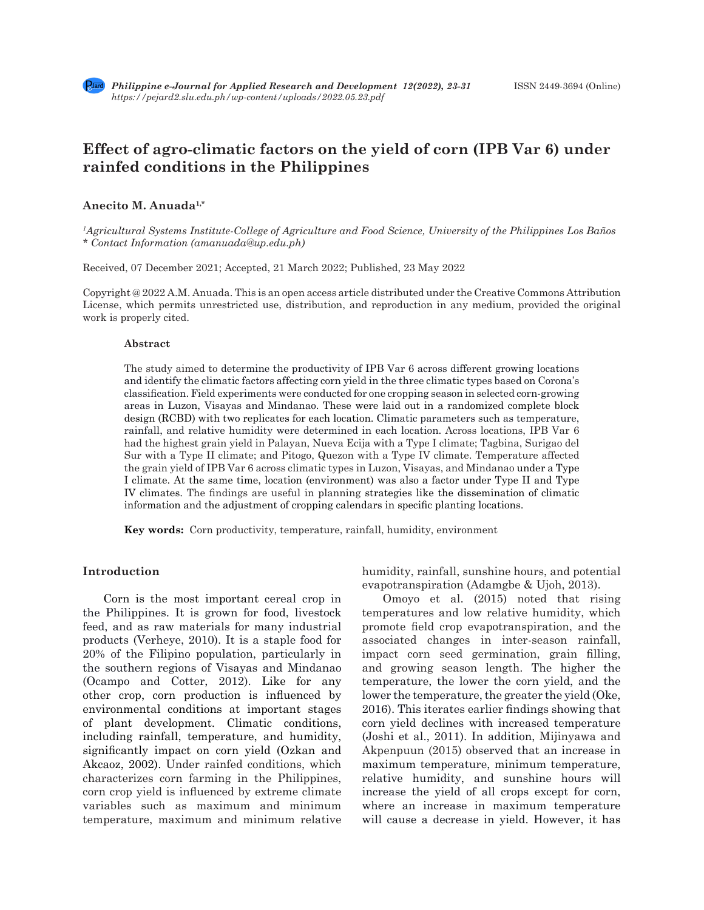

# **Effect of agro-climatic factors on the yield of corn (IPB Var 6) under rainfed conditions in the Philippines**

## **Anecito M. Anuada1,\***

*1 Agricultural Systems Institute-College of Agriculture and Food Science, University of the Philippines Los Baños \* Contact Information (amanuada@up.edu.ph)*

Received, 07 December 2021; Accepted, 21 March 2022; Published, 23 May 2022

Copyright @ 2022 A.M. Anuada. This is an open access article distributed under the Creative Commons Attribution License, which permits unrestricted use, distribution, and reproduction in any medium, provided the original work is properly cited.

#### **Abstract**

The study aimed to determine the productivity of IPB Var 6 across different growing locations and identify the climatic factors affecting corn yield in the three climatic types based on Corona's classification. Field experiments were conducted for one cropping season in selected corn-growing areas in Luzon, Visayas and Mindanao. These were laid out in a randomized complete block design (RCBD) with two replicates for each location. Climatic parameters such as temperature, rainfall, and relative humidity were determined in each location. Across locations, IPB Var 6 had the highest grain yield in Palayan, Nueva Ecija with a Type I climate; Tagbina, Surigao del Sur with a Type II climate; and Pitogo, Quezon with a Type IV climate. Temperature affected the grain yield of IPB Var 6 across climatic types in Luzon, Visayas, and Mindanao under a Type I climate. At the same time, location (environment) was also a factor under Type II and Type IV climates. The findings are useful in planning strategies like the dissemination of climatic information and the adjustment of cropping calendars in specific planting locations.

**Key words:** Corn productivity, temperature, rainfall, humidity, environment

#### **Introduction**

Corn is the most important cereal crop in the Philippines. It is grown for food, livestock feed, and as raw materials for many industrial products (Verheye, 2010). It is a staple food for 20% of the Filipino population, particularly in the southern regions of Visayas and Mindanao (Ocampo and Cotter, 2012). Like for any other crop, corn production is influenced by environmental conditions at important stages of plant development. Climatic conditions, including rainfall, temperature, and humidity, significantly impact on corn yield (Ozkan and Akcaoz, 2002). Under rainfed conditions, which characterizes corn farming in the Philippines, corn crop yield is influenced by extreme climate variables such as maximum and minimum temperature, maximum and minimum relative humidity, rainfall, sunshine hours, and potential evapotranspiration (Adamgbe & Ujoh, 2013).

Omoyo et al. (2015) noted that rising temperatures and low relative humidity, which promote field crop evapotranspiration, and the associated changes in inter-season rainfall, impact corn seed germination, grain filling, and growing season length. The higher the temperature, the lower the corn yield, and the lower the temperature, the greater the yield (Oke, 2016). This iterates earlier findings showing that corn yield declines with increased temperature (Joshi et al., 2011). In addition, Mijinyawa and Akpenpuun (2015) observed that an increase in maximum temperature, minimum temperature, relative humidity, and sunshine hours will increase the yield of all crops except for corn, where an increase in maximum temperature will cause a decrease in yield. However, it has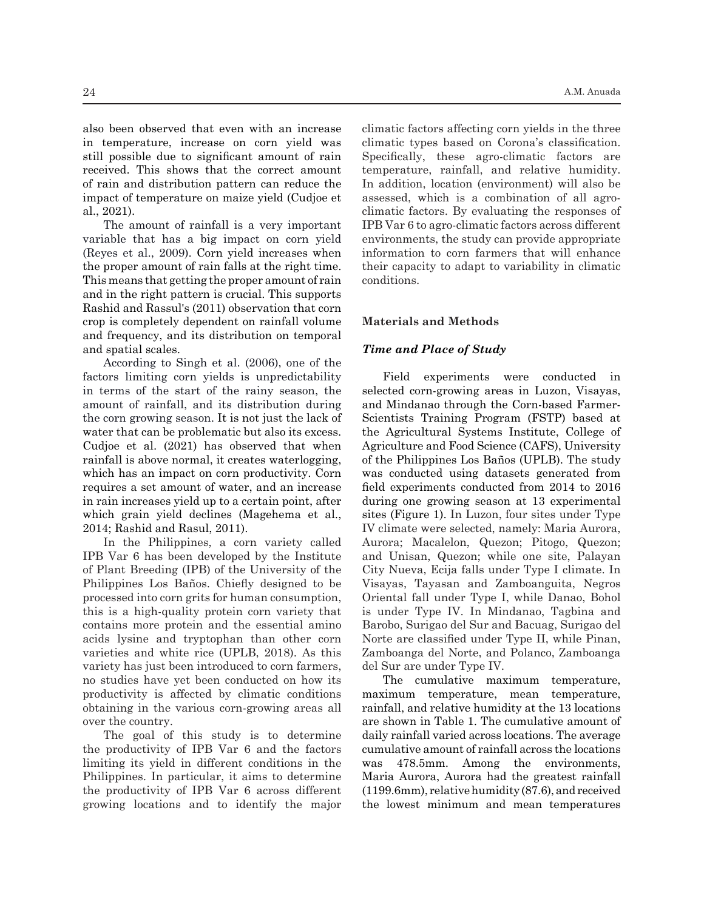also been observed that even with an increase in temperature, increase on corn yield was still possible due to significant amount of rain received. This shows that the correct amount of rain and distribution pattern can reduce the impact of temperature on maize yield (Cudjoe et al., 2021).

The amount of rainfall is a very important variable that has a big impact on corn yield (Reyes et al., 2009). Corn yield increases when the proper amount of rain falls at the right time. This means that getting the proper amount of rain and in the right pattern is crucial. This supports Rashid and Rassul's (2011) observation that corn crop is completely dependent on rainfall volume and frequency, and its distribution on temporal and spatial scales.

According to Singh et al. (2006), one of the factors limiting corn yields is unpredictability in terms of the start of the rainy season, the amount of rainfall, and its distribution during the corn growing season. It is not just the lack of water that can be problematic but also its excess. Cudjoe et al. (2021) has observed that when rainfall is above normal, it creates waterlogging, which has an impact on corn productivity. Corn requires a set amount of water, and an increase in rain increases yield up to a certain point, after which grain yield declines (Magehema et al., 2014; Rashid and Rasul, 2011).

In the Philippines, a corn variety called IPB Var 6 has been developed by the Institute of Plant Breeding (IPB) of the University of the Philippines Los Baños. Chiefly designed to be processed into corn grits for human consumption, this is a high-quality protein corn variety that contains more protein and the essential amino acids lysine and tryptophan than other corn varieties and white rice (UPLB, 2018). As this variety has just been introduced to corn farmers, no studies have yet been conducted on how its productivity is affected by climatic conditions obtaining in the various corn-growing areas all over the country.

The goal of this study is to determine the productivity of IPB Var 6 and the factors limiting its yield in different conditions in the Philippines. In particular, it aims to determine the productivity of IPB Var 6 across different growing locations and to identify the major climatic factors affecting corn yields in the three climatic types based on Corona's classification. Specifically, these agro-climatic factors are temperature, rainfall, and relative humidity. In addition, location (environment) will also be assessed, which is a combination of all agroclimatic factors. By evaluating the responses of IPB Var 6 to agro-climatic factors across different environments, the study can provide appropriate information to corn farmers that will enhance their capacity to adapt to variability in climatic conditions.

#### **Materials and Methods**

## *Time and Place of Study*

Field experiments were conducted in selected corn-growing areas in Luzon, Visayas, and Mindanao through the Corn-based Farmer-Scientists Training Program (FSTP) based at the Agricultural Systems Institute, College of Agriculture and Food Science (CAFS), University of the Philippines Los Baños (UPLB). The study was conducted using datasets generated from field experiments conducted from 2014 to 2016 during one growing season at 13 experimental sites (Figure 1). In Luzon, four sites under Type IV climate were selected, namely: Maria Aurora, Aurora; Macalelon, Quezon; Pitogo, Quezon; and Unisan, Quezon; while one site, Palayan City Nueva, Ecija falls under Type I climate. In Visayas, Tayasan and Zamboanguita, Negros Oriental fall under Type I, while Danao, Bohol is under Type IV. In Mindanao, Tagbina and Barobo, Surigao del Sur and Bacuag, Surigao del Norte are classified under Type II, while Pinan, Zamboanga del Norte, and Polanco, Zamboanga del Sur are under Type IV.

The cumulative maximum temperature, maximum temperature, mean temperature, rainfall, and relative humidity at the 13 locations are shown in Table 1. The cumulative amount of daily rainfall varied across locations. The average cumulative amount of rainfall across the locations was 478.5mm. Among the environments, Maria Aurora, Aurora had the greatest rainfall (1199.6mm), relative humidity (87.6), and received the lowest minimum and mean temperatures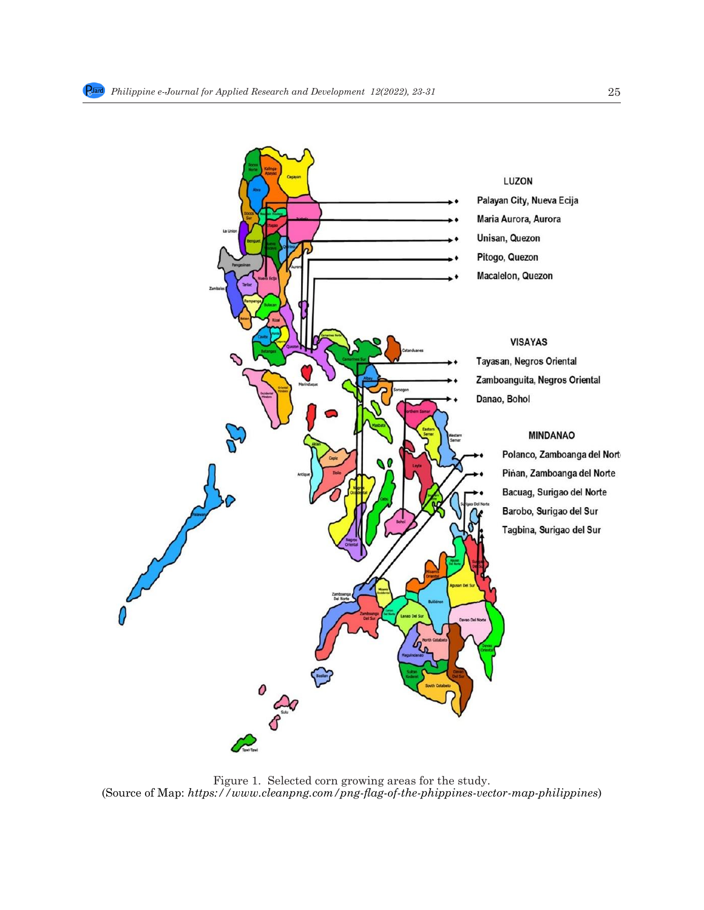

## **LUZON**

Palayan City, Nueva Ecija Maria Aurora, Aurora Unisan, Quezon Pitogo, Quezon Macalelon, Quezon

## **VISAYAS**

Tayasan, Negros Oriental Zamboanguita, Negros Oriental Danao, Bohol

## **MINDANAO**

Polanco, Zamboanga del Nort Pinan, Zamboanga del Norte Bacuag, Surigao del Norte Barobo, Surigao del Sur Tagbina, Surigao del Sur

94 Figure 1. Selected corn growing areas for the study. 95 (Source of Map: *https://www.cleanpng.com/png-flag-of-the-phippines-vector-map-philippines*) (Source of Map: *https://www.cleanpng.com/png-flag-of-the-phippines-vector-map-philippines*)Figure 1. Selected corn growing areas for the study.

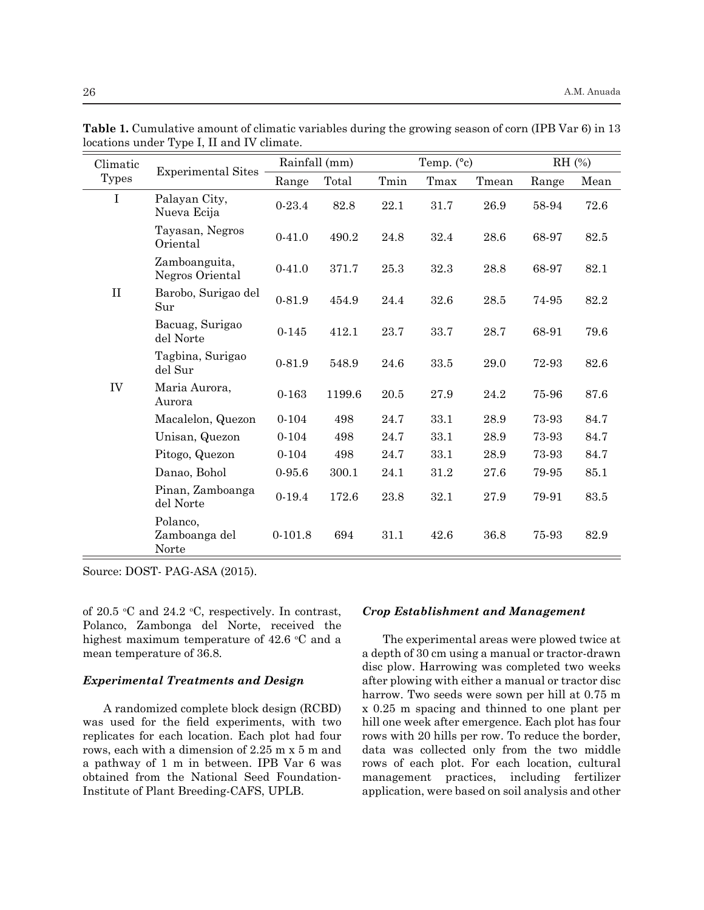| Climatic     | <b>Experimental Sites</b>          | Rainfall (mm) |        | Temp. $(^{\circ}c)$ |      |       | $RH$ (%) |      |
|--------------|------------------------------------|---------------|--------|---------------------|------|-------|----------|------|
| <b>Types</b> |                                    | Range         | Total  | Tmin                | Tmax | Tmean | Range    | Mean |
| $\mathbf I$  | Palayan City,<br>Nueva Ecija       | $0 - 23.4$    | 82.8   | 22.1                | 31.7 | 26.9  | 58-94    | 72.6 |
|              | Tayasan, Negros<br>Oriental        | $0-41.0$      | 490.2  | 24.8                | 32.4 | 28.6  | 68-97    | 82.5 |
|              | Zamboanguita,<br>Negros Oriental   | $0 - 41.0$    | 371.7  | 25.3                | 32.3 | 28.8  | 68-97    | 82.1 |
| $\mathbf{I}$ | Barobo, Surigao del<br>Sur         | $0 - 81.9$    | 454.9  | 24.4                | 32.6 | 28.5  | 74-95    | 82.2 |
|              | Bacuag, Surigao<br>del Norte       | $0 - 145$     | 412.1  | 23.7                | 33.7 | 28.7  | 68-91    | 79.6 |
|              | Tagbina, Surigao<br>del Sur        | $0 - 81.9$    | 548.9  | 24.6                | 33.5 | 29.0  | 72-93    | 82.6 |
| IV           | Maria Aurora,<br>Aurora            | $0 - 163$     | 1199.6 | 20.5                | 27.9 | 24.2  | 75-96    | 87.6 |
|              | Macalelon, Quezon                  | $0 - 104$     | 498    | 24.7                | 33.1 | 28.9  | 73-93    | 84.7 |
|              | Unisan, Quezon                     | $0 - 104$     | 498    | 24.7                | 33.1 | 28.9  | 73-93    | 84.7 |
|              | Pitogo, Quezon                     | $0 - 104$     | 498    | 24.7                | 33.1 | 28.9  | 73-93    | 84.7 |
|              | Danao, Bohol                       | $0 - 95.6$    | 300.1  | 24.1                | 31.2 | 27.6  | 79-95    | 85.1 |
|              | Pinan, Zamboanga<br>del Norte      | $0 - 19.4$    | 172.6  | 23.8                | 32.1 | 27.9  | 79-91    | 83.5 |
|              | Polanco,<br>Zamboanga del<br>Norte | $0-101.8$     | 694    | 31.1                | 42.6 | 36.8  | 75-93    | 82.9 |

**Table 1.** Cumulative amount of climatic variables during the growing season of corn (IPB Var 6) in 13 locations under Type I, II and IV climate.  $\equiv$ 

Source: DOST- PAG-ASA (2015).

of 20.5 °C and 24.2 °C, respectively. In contrast, Polanco, Zambonga del Norte, received the highest maximum temperature of  $42.6 \text{ °C}$  and a mean temperature of 36.8.

#### *Experimental Treatments and Design*

A randomized complete block design (RCBD) was used for the field experiments, with two replicates for each location. Each plot had four rows, each with a dimension of 2.25 m x 5 m and a pathway of 1 m in between. IPB Var 6 was obtained from the National Seed Foundation-Institute of Plant Breeding-CAFS, UPLB.

#### *Crop Establishment and Management*

The experimental areas were plowed twice at a depth of 30 cm using a manual or tractor-drawn disc plow. Harrowing was completed two weeks after plowing with either a manual or tractor disc harrow. Two seeds were sown per hill at 0.75 m x 0.25 m spacing and thinned to one plant per hill one week after emergence. Each plot has four rows with 20 hills per row. To reduce the border, data was collected only from the two middle rows of each plot. For each location, cultural management practices, including fertilizer application, were based on soil analysis and other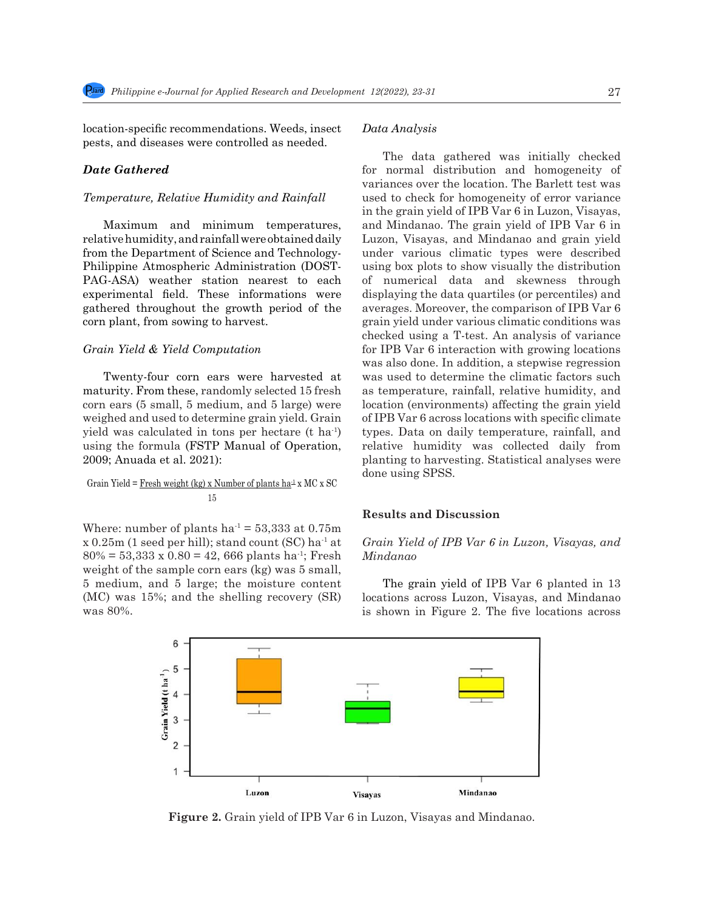location-specific recommendations. Weeds, insect pests, and diseases were controlled as needed.

## *Date Gathered*

#### *Temperature, Relative Humidity and Rainfall*

Maximum and minimum temperatures, relative humidity, and rainfall were obtained daily from the Department of Science and Technology-Philippine Atmospheric Administration (DOST-PAG-ASA) weather station nearest to each experimental field. These informations were gathered throughout the growth period of the corn plant, from sowing to harvest.

#### *Grain Yield & Yield Computation*

Twenty-four corn ears were harvested at maturity. From these, randomly selected 15 fresh corn ears (5 small, 5 medium, and 5 large) were weighed and used to determine grain yield. Grain yield was calculated in tons per hectare (t ha-1) using the formula (FSTP Manual of Operation, 2009; Anuada et al. 2021):

## Grain Yield =  $Fresh weight (kg) x Number of plants ha<sup>1</sup> x MC x SC$ </u> 15

Where: number of plants ha<sup>-1</sup> = 53,333 at 0.75m  $x$  0.25m (1 seed per hill); stand count (SC) ha<sup>-1</sup> at  $80\% = 53,333 \times 0.80 = 42,666$  plants ha<sup>-1</sup>; Fresh weight of the sample corn ears (kg) was 5 small, 5 medium, and 5 large; the moisture content  $(MC)$  was 15%; and the shelling recovery  $(SR)$  locations across Luzon, Visayas, and Mindanao was  $80\%$ .

#### *Data Analysis*

The data gathered was initially checked for normal distribution and homogeneity of variances over the location. The Barlett test was used to check for homogeneity of error variance in the grain yield of IPB Var 6 in Luzon, Visayas, and Mindanao. The grain yield of IPB Var 6 in Luzon, Visayas, and Mindanao and grain yield under various climatic types were described using box plots to show visually the distribution of numerical data and skewness through displaying the data quartiles (or percentiles) and averages. Moreover, the comparison of IPB Var 6 grain yield under various climatic conditions was checked using a T-test. An analysis of variance for IPB Var 6 interaction with growing locations was also done. In addition, a stepwise regression was used to determine the climatic factors such as temperature, rainfall, relative humidity, and location (environments) affecting the grain yield of IPB Var 6 across locations with specific climate types. Data on daily temperature, rainfall, and relative humidity was collected daily from planting to harvesting. Statistical analyses were done using SPSS.

### **Results and Discussion**

## *Grain Yield of IPB Var 6 in Luzon, Visayas, and Mindanao*

The grain yield of IPB Var 6 planted in 13 locations across Luzon, Visayas, and Mindanao is shown in Figure 2. The five locations across



175 Figure 2. Grain yield of IPB Var 6 in Luzon, Visayas and Mindanao. **Figure 2.** Grain yield of IPB Var 6 in Luzon, Visayas and Mindanao.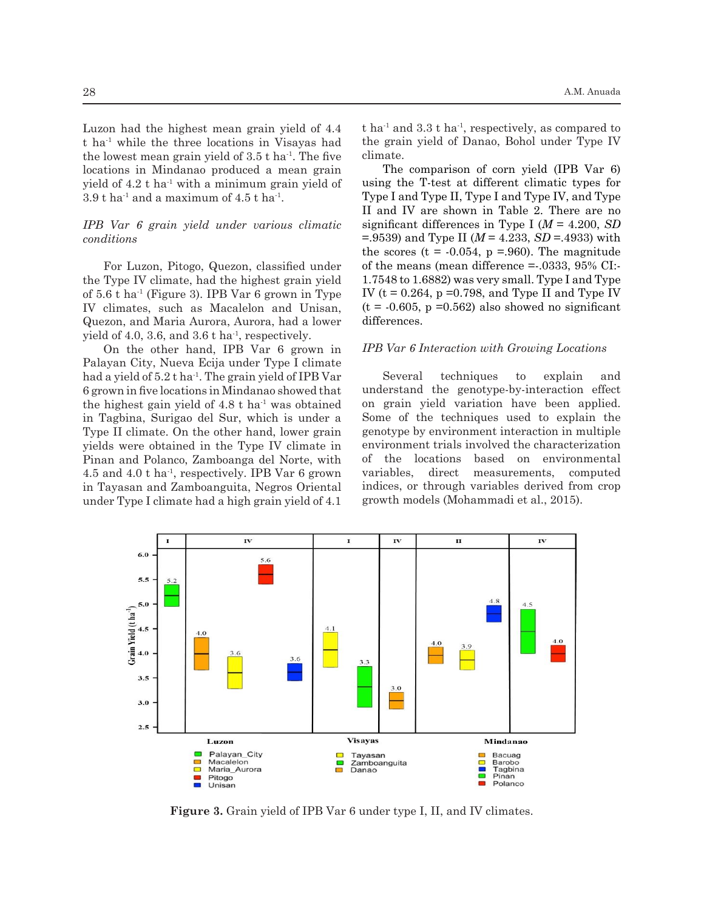Luzon had the highest mean grain yield of 4.4 t ha-1 while the three locations in Visayas had the lowest mean grain yield of  $3.5$  t ha<sup>-1</sup>. The five locations in Mindanao produced a mean grain yield of  $4.2$  t ha<sup>-1</sup> with a minimum grain yield of  $3.9$  t ha<sup>-1</sup> and a maximum of  $4.5$  t ha<sup>-1</sup>.

# *IPB Var 6 grain yield under various climatic conditions*

For Luzon, Pitogo, Quezon, classified under the Type IV climate, had the highest grain yield of  $5.6$  t ha<sup>-1</sup> (Figure 3). IPB Var 6 grown in Type IV climates, such as Macalelon and Unisan, Quezon, and Maria Aurora, Aurora, had a lower yield of 4.0, 3.6, and 3.6  $t$  ha<sup>-1</sup>, respectively.

in Tagbina, Surigao del Sur, which is under a Some of the techniques used t yields were obtained in the Type IV climate in enviro under Type I climate had a high grain yield of 4.1 growth models (Mohammadi et al., On the other hand, IPB Var 6 grown in Palayan City, Nueva Ecija under Type I climate had a yield of  $5.2$  t ha<sup>-1</sup>. The grain yield of IPB Var 6 grown in five locations in Mindanao showed that the highest gain yield of  $4.8$  t ha<sup>-1</sup> was obtained Type II climate. On the other hand, lower grain Pinan and Polanco, Zamboanga del Norte, with

t ha<sup>-1</sup> and 3.3 t ha<sup>-1</sup>, respectively, as compared to the grain yield of Danao, Bohol under Type IV climate.

3.9 t ha<sup>-1</sup> and a maximum of 4.5 t ha<sup>-1</sup> with a minimum graph  $\frac{1}{2}$  Type I and Type II, Type I and Type IV, and Type The comparison of corn yield (IPB Var 6) using the T-test at different climatic types for II and IV are shown in Table 2. There are no significant differences in Type I (*M* = 4.200, *SD*  =.9539) and Type II (*M* = 4.233, *SD* =.4933) with the scores ( $t = -0.054$ ,  $p = .960$ ). The magnitude of the means (mean difference  $= .0333, 95\%$  CI:-1.7548 to 1.6882) was very small. Type I and Type IV ( $t = 0.264$ ,  $p = 0.798$ , and Type II and Type IV  $(t = -0.605, p = 0.562)$  also showed no significant differences.

#### *IPB Var 6 Interaction with Growing Locations*

4.5 and 4.0 t ha<sup>-1</sup>, respectively. IPB Var 6 grown variables, direct measurements, computed  $\ddot{\theta}$ in Tayasan and Zamboanguita, Negros Oriental indices, or through variables derived from crop<br>under Type I climate had a high group viald of 4.1 crowth models (Mohammadi et al. 2015) Several techniques to explain and understand the genotype-by-interaction effect on grain yield variation have been applied. Some of the techniques used to explain the genotype by environment interaction in multiple environment trials involved the characterization of the locations based on environmental variables, direct measurements, computed indices, or through variables derived from crop growth models (Mohammadi et al., 2015).



183 Figure 3. Grain yield of IPB Var 6 under type I, II, and IV climates. **Figure 3.** Grain yield of IPB Var 6 under type I, II, and IV climates.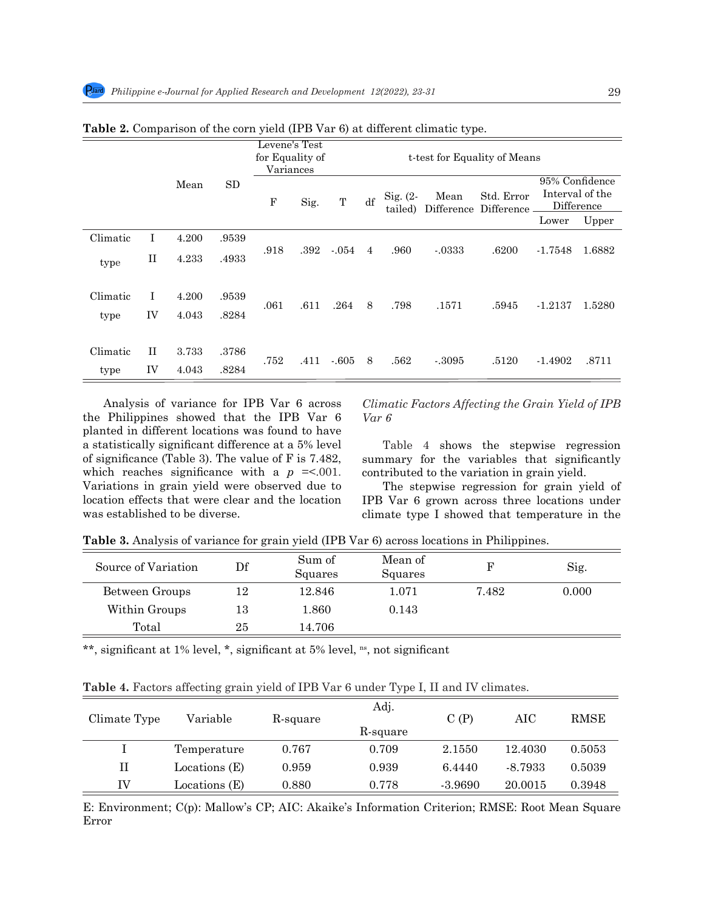|                  |                    |                |                |                                                                               |      |        |                |                       | ັ້                 |                          |                                                 |        |
|------------------|--------------------|----------------|----------------|-------------------------------------------------------------------------------|------|--------|----------------|-----------------------|--------------------|--------------------------|-------------------------------------------------|--------|
|                  |                    |                |                | Levene's Test<br>for Equality of<br>t-test for Equality of Means<br>Variances |      |        |                |                       |                    |                          |                                                 |        |
|                  | Mean               |                | <b>SD</b>      | $\mathbf F$                                                                   | Sig. | T      | df             | $Sig. (2-$<br>tailed) | Mean<br>Difference | Std. Error<br>Difference | 95% Confidence<br>Interval of the<br>Difference |        |
|                  |                    |                |                |                                                                               |      |        |                |                       |                    |                          | Lower                                           | Upper  |
| Climatic         | I                  | 4.200          | .9539          |                                                                               |      |        |                |                       |                    |                          |                                                 |        |
| type             | П                  | 4.233          | .4933          | .918                                                                          | .392 | $-054$ | $\overline{4}$ | .960                  | $-0.333$           | .6200                    | $-1.7548$                                       | 1.6882 |
| Climatic<br>type | $\mathbf{I}$<br>IV | 4.200<br>4.043 | .9539<br>.8284 | .061                                                                          | .611 | .264   | 8              | .798                  | .1571              | .5945                    | $-1.2137$                                       | 1.5280 |
| Climatic<br>type | $_{\rm II}$<br>IV  | 3.733<br>4.043 | .3786<br>.8284 | .752                                                                          | .411 | $-605$ | 8              | .562                  | $-3095$            | .5120                    | $-1.4902$                                       | .8711  |

**Table 2.** Comparison of the corn yield (IPB Var 6) at different climatic type.

Analysis of variance for IPB Var 6 across the Philippines showed that the IPB Var 6 planted in different locations was found to have a statistically significant difference at a 5% level of significance (Table 3). The value of F is 7.482, which reaches significance with a  $p = 0.001$ . Variations in grain yield were observed due to location effects that were clear and the location was established to be diverse.

*Climatic Factors Affecting the Grain Yield of IPB Var 6*

Table 4 shows the stepwise regression summary for the variables that significantly contributed to the variation in grain yield.

The stepwise regression for grain yield of IPB Var 6 grown across three locations under climate type I showed that temperature in the

**Table 3.** Analysis of variance for grain yield (IPB Var 6) across locations in Philippines.

| Source of Variation | Df | Sum of<br>Squares | Mean of<br>Squares |       | Sig.  |
|---------------------|----|-------------------|--------------------|-------|-------|
| Between Groups      | 12 | 12.846            | 1.071              | 7.482 | 0.000 |
| Within Groups       | 13 | 1.860             | 0.143              |       |       |
| Total               | 25 | 14.706            |                    |       |       |

\*\*, significant at 1% level, \*, significant at 5% level, <sup>ns</sup>, not significant

|  |  |  |  |  |  | <b>Table 4.</b> Factors affecting grain yield of IPB Var 6 under Type I, II and IV climates. |  |  |  |
|--|--|--|--|--|--|----------------------------------------------------------------------------------------------|--|--|--|
|--|--|--|--|--|--|----------------------------------------------------------------------------------------------|--|--|--|

| Climate Type | Variable      | R-square | Adj.<br>R-square | C(P)      | AIC       | <b>RMSE</b> |
|--------------|---------------|----------|------------------|-----------|-----------|-------------|
|              | Temperature   | 0.767    | 0.709            | 2.1550    | 12.4030   | 0.5053      |
| H            | Locations (E) | 0.959    | 0.939            | 6.4440    | $-8.7933$ | 0.5039      |
| ΙV           | Locations (E) | 0.880    | 0.778            | $-3.9690$ | 20.0015   | 0.3948      |

E: Environment; C(p): Mallow's CP; AIC: Akaike's Information Criterion; RMSE: Root Mean Square Error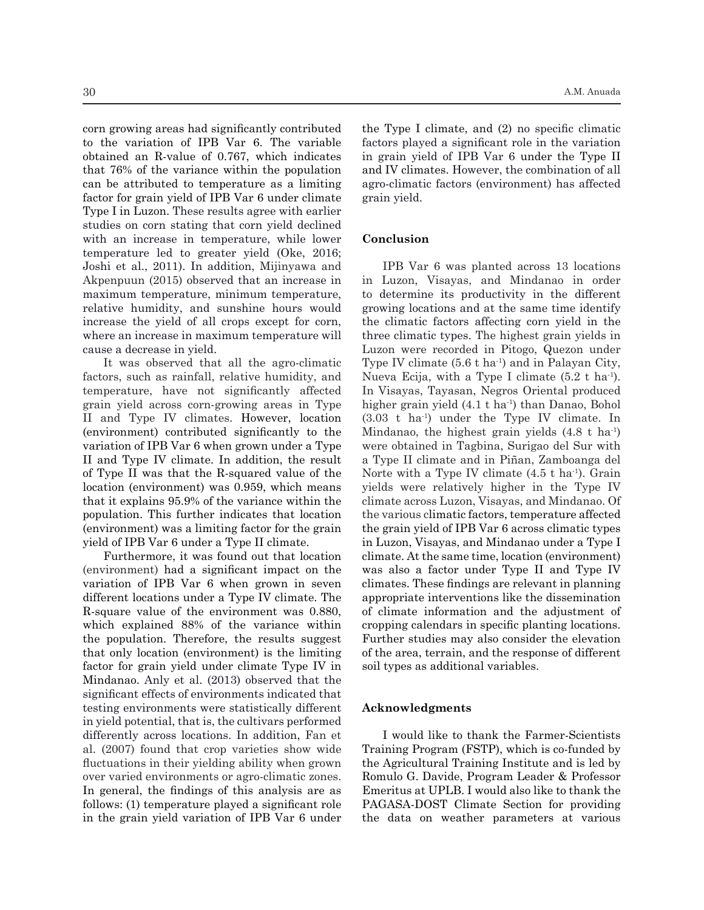corn growing areas had significantly contributed to the variation of IPB Var 6. The variable obtained an R-value of 0.767, which indicates that 76% of the variance within the population can be attributed to temperature as a limiting factor for grain yield of IPB Var 6 under climate Type I in Luzon. These results agree with earlier studies on corn stating that corn yield declined with an increase in temperature, while lower temperature led to greater yield (Oke, 2016; Joshi et al., 2011). In addition, Mijinyawa and Akpenpuun (2015) observed that an increase in maximum temperature, minimum temperature, relative humidity, and sunshine hours would increase the yield of all crops except for corn, where an increase in maximum temperature will cause a decrease in yield.

It was observed that all the agro-climatic factors, such as rainfall, relative humidity, and temperature, have not significantly affected grain yield across corn-growing areas in Type II and Type IV climates. However, location (environment) contributed significantly to the variation of IPB Var 6 when grown under a Type II and Type IV climate. In addition, the result of Type II was that the R-squared value of the location (environment) was 0.959, which means that it explains 95.9% of the variance within the population. This further indicates that location (environment) was a limiting factor for the grain yield of IPB Var 6 under a Type II climate.

Furthermore, it was found out that location (environment) had a significant impact on the variation of IPB Var 6 when grown in seven different locations under a Type IV climate. The R-square value of the environment was 0.880, which explained 88% of the variance within the population. Therefore, the results suggest that only location (environment) is the limiting factor for grain yield under climate Type IV in Mindanao. Anly et al. (2013) observed that the significant effects of environments indicated that testing environments were statistically different in yield potential, that is, the cultivars performed differently across locations. In addition, Fan et al. (2007) found that crop varieties show wide fluctuations in their yielding ability when grown over varied environments or agro-climatic zones. In general, the findings of this analysis are as follows: (1) temperature played a significant role in the grain yield variation of IPB Var 6 under the Type I climate, and (2) no specific climatic factors played a significant role in the variation in grain yield of IPB Var 6 under the Type II and IV climates. However, the combination of all agro-climatic factors (environment) has affected grain yield.

#### **Conclusion**

IPB Var 6 was planted across 13 locations in Luzon, Visayas, and Mindanao in order to determine its productivity in the different growing locations and at the same time identify the climatic factors affecting corn yield in the three climatic types. The highest grain yields in Luzon were recorded in Pitogo, Quezon under Type IV climate  $(5.6 \text{ t} \text{ ha}^{\text{-1}})$  and in Palayan City, Nueva Ecija, with a Type I climate  $(5.2 \text{ t ha}^1)$ . In Visayas, Tayasan, Negros Oriental produced higher grain yield (4.1 t ha<sup>1</sup>) than Danao, Bohol  $(3.03 \text{ t} \text{ ha}^{\text{-1}})$  under the Type IV climate. In Mindanao, the highest grain yields  $(4.8 \text{ t} \text{ ha}^{\text{-1}})$ were obtained in Tagbina, Surigao del Sur with a Type II climate and in Piñan, Zamboanga del Norte with a Type IV climate  $(4.5 \text{ t ha}^{-1})$ . Grain yields were relatively higher in the Type IV climate across Luzon, Visayas, and Mindanao. Of the various climatic factors, temperature affected the grain yield of IPB Var 6 across climatic types in Luzon, Visayas, and Mindanao under a Type I climate. At the same time, location (environment) was also a factor under Type II and Type IV climates. These findings are relevant in planning appropriate interventions like the dissemination of climate information and the adjustment of cropping calendars in specific planting locations. Further studies may also consider the elevation of the area, terrain, and the response of different soil types as additional variables.

#### **Acknowledgments**

I would like to thank the Farmer-Scientists Training Program (FSTP), which is co-funded by the Agricultural Training Institute and is led by Romulo G. Davide, Program Leader & Professor Emeritus at UPLB. I would also like to thank the PAGASA-DOST Climate Section for providing the data on weather parameters at various